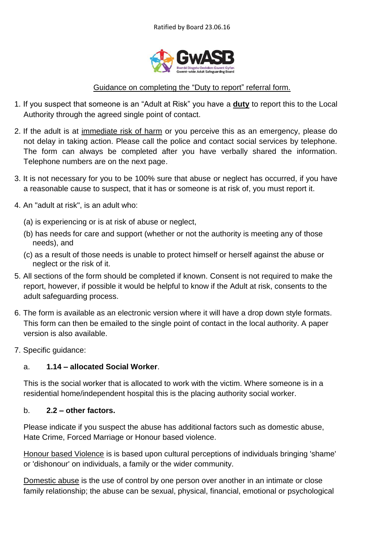

### Guidance on completing the "Duty to report" referral form.

- 1. If you suspect that someone is an "Adult at Risk" you have a **duty** to report this to the Local Authority through the agreed single point of contact.
- 2. If the adult is at immediate risk of harm or you perceive this as an emergency, please do not delay in taking action. Please call the police and contact social services by telephone. The form can always be completed after you have verbally shared the information. Telephone numbers are on the next page.
- 3. It is not necessary for you to be 100% sure that abuse or neglect has occurred, if you have a reasonable cause to suspect, that it has or someone is at risk of, you must report it.
- 4. An "adult at risk", is an adult who:
	- (a) is experiencing or is at risk of abuse or neglect,
	- (b) has needs for care and support (whether or not the authority is meeting any of those needs), and
	- (c) as a result of those needs is unable to protect himself or herself against the abuse or neglect or the risk of it.
- 5. All sections of the form should be completed if known. Consent is not required to make the report, however, if possible it would be helpful to know if the Adult at risk, consents to the adult safeguarding process.
- 6. The form is available as an electronic version where it will have a drop down style formats. This form can then be emailed to the single point of contact in the local authority. A paper version is also available.
- 7. Specific guidance:

### a. **1.14 – allocated Social Worker**.

This is the social worker that is allocated to work with the victim. Where someone is in a residential home/independent hospital this is the placing authority social worker.

### b. **2.2 – other factors.**

Please indicate if you suspect the abuse has additional factors such as domestic abuse, Hate Crime, Forced Marriage or Honour based violence.

Honour based Violence is is based upon cultural perceptions of individuals bringing 'shame' or 'dishonour' on individuals, a family or the wider community.

Domestic abuse is the use of control by one person over another in an intimate or close family relationship; the abuse can be sexual, physical, financial, emotional or psychological